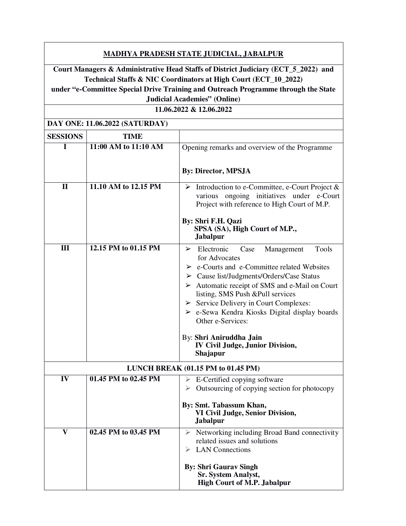| <u>MADHYA PRADESH STATE JUDICIAL, JABALPUR</u>                                                                                                                                                                                              |                      |                                                                                                                                                                                                                                                                                                                                                                                                                                           |  |
|---------------------------------------------------------------------------------------------------------------------------------------------------------------------------------------------------------------------------------------------|----------------------|-------------------------------------------------------------------------------------------------------------------------------------------------------------------------------------------------------------------------------------------------------------------------------------------------------------------------------------------------------------------------------------------------------------------------------------------|--|
| Court Managers & Administrative Head Staffs of District Judiciary (ECT_5_2022) and<br>Technical Staffs & NIC Coordinators at High Court (ECT_10_2022)<br>under "e-Committee Special Drive Training and Outreach Programme through the State |                      |                                                                                                                                                                                                                                                                                                                                                                                                                                           |  |
| <b>Judicial Academies" (Online)</b>                                                                                                                                                                                                         |                      |                                                                                                                                                                                                                                                                                                                                                                                                                                           |  |
| 11.06.2022 & 12.06.2022                                                                                                                                                                                                                     |                      |                                                                                                                                                                                                                                                                                                                                                                                                                                           |  |
| DAY ONE: 11.06.2022 (SATURDAY)                                                                                                                                                                                                              |                      |                                                                                                                                                                                                                                                                                                                                                                                                                                           |  |
| <b>SESSIONS</b>                                                                                                                                                                                                                             | <b>TIME</b>          |                                                                                                                                                                                                                                                                                                                                                                                                                                           |  |
| I                                                                                                                                                                                                                                           | 11:00 AM to 11:10 AM | Opening remarks and overview of the Programme                                                                                                                                                                                                                                                                                                                                                                                             |  |
|                                                                                                                                                                                                                                             |                      | <b>By: Director, MPSJA</b>                                                                                                                                                                                                                                                                                                                                                                                                                |  |
| $\mathbf{I}$                                                                                                                                                                                                                                | 11.10 AM to 12.15 PM | $\triangleright$ Introduction to e-Committee, e-Court Project &<br>various ongoing initiatives under e-Court<br>Project with reference to High Court of M.P.                                                                                                                                                                                                                                                                              |  |
|                                                                                                                                                                                                                                             |                      | By: Shri F.H. Qazi<br>SPSA (SA), High Court of M.P.,<br>Jabalpur                                                                                                                                                                                                                                                                                                                                                                          |  |
| Ш                                                                                                                                                                                                                                           | 12.15 PM to 01.15 PM | $\triangleright$ Electronic<br>Tools<br>Case<br>Management<br>for Advocates<br>$\triangleright$ e-Courts and e-Committee related Websites<br>$\triangleright$ Cause list/Judgments/Orders/Case Status<br>$\triangleright$ Automatic receipt of SMS and e-Mail on Court<br>listing, SMS Push &Pull services<br>$\triangleright$ Service Delivery in Court Complexes:<br>> e-Sewa Kendra Kiosks Digital display boards<br>Other e-Services: |  |
|                                                                                                                                                                                                                                             |                      | By: Shri Aniruddha Jain<br><b>IV Civil Judge, Junior Division,</b><br>Shajapur                                                                                                                                                                                                                                                                                                                                                            |  |
|                                                                                                                                                                                                                                             |                      | LUNCH BREAK (01.15 PM to 01.45 PM)                                                                                                                                                                                                                                                                                                                                                                                                        |  |
| IV                                                                                                                                                                                                                                          | 01.45 PM to 02.45 PM | E-Certified copying software<br>➤<br>Outsourcing of copying section for photocopy<br>By: Smt. Tabassum Khan,<br>VI Civil Judge, Senior Division,<br><b>Jabalpur</b>                                                                                                                                                                                                                                                                       |  |
| $\overline{\mathbf{V}}$                                                                                                                                                                                                                     | 02.45 PM to 03.45 PM | Networking including Broad Band connectivity<br>related issues and solutions<br><b>LAN</b> Connections<br><b>By: Shri Gaurav Singh</b>                                                                                                                                                                                                                                                                                                    |  |
|                                                                                                                                                                                                                                             |                      | <b>Sr. System Analyst,</b><br><b>High Court of M.P. Jabalpur</b>                                                                                                                                                                                                                                                                                                                                                                          |  |